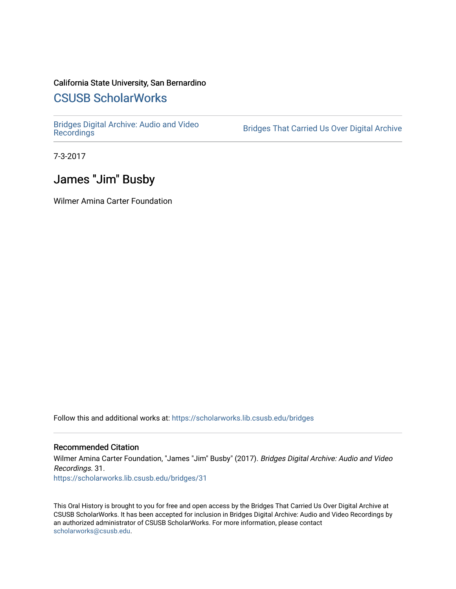### California State University, San Bernardino

# [CSUSB ScholarWorks](https://scholarworks.lib.csusb.edu/)

[Bridges Digital Archive: Audio and Video](https://scholarworks.lib.csusb.edu/bridges)

Bridges That Carried Us Over Digital Archive

7-3-2017

## James "Jim" Busby

Wilmer Amina Carter Foundation

Follow this and additional works at: [https://scholarworks.lib.csusb.edu/bridges](https://scholarworks.lib.csusb.edu/bridges?utm_source=scholarworks.lib.csusb.edu%2Fbridges%2F31&utm_medium=PDF&utm_campaign=PDFCoverPages) 

#### Recommended Citation

Wilmer Amina Carter Foundation, "James "Jim" Busby" (2017). Bridges Digital Archive: Audio and Video Recordings. 31. [https://scholarworks.lib.csusb.edu/bridges/31](https://scholarworks.lib.csusb.edu/bridges/31?utm_source=scholarworks.lib.csusb.edu%2Fbridges%2F31&utm_medium=PDF&utm_campaign=PDFCoverPages)

This Oral History is brought to you for free and open access by the Bridges That Carried Us Over Digital Archive at CSUSB ScholarWorks. It has been accepted for inclusion in Bridges Digital Archive: Audio and Video Recordings by an authorized administrator of CSUSB ScholarWorks. For more information, please contact [scholarworks@csusb.edu](mailto:scholarworks@csusb.edu).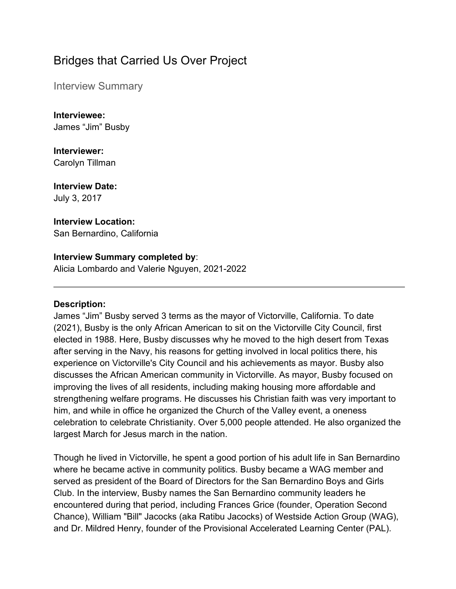# Bridges that Carried Us Over Project

Interview Summary

**Interviewee:** James "Jim" Busby

**Interviewer:** Carolyn Tillman

**Interview Date:** July 3, 2017

## **Interview Location:**

San Bernardino, California

#### **Interview Summary completed by**:

Alicia Lombardo and Valerie Nguyen, 2021-2022

#### **Description:**

James "Jim" Busby served 3 terms as the mayor of Victorville, California. To date (2021), Busby is the only African American to sit on the Victorville City Council, first elected in 1988. Here, Busby discusses why he moved to the high desert from Texas after serving in the Navy, his reasons for getting involved in local politics there, his experience on Victorville's City Council and his achievements as mayor. Busby also discusses the African American community in Victorville. As mayor, Busby focused on improving the lives of all residents, including making housing more affordable and strengthening welfare programs. He discusses his Christian faith was very important to him, and while in office he organized the Church of the Valley event, a oneness celebration to celebrate Christianity. Over 5,000 people attended. He also organized the largest March for Jesus march in the nation.

Though he lived in Victorville, he spent a good portion of his adult life in San Bernardino where he became active in community politics. Busby became a WAG member and served as president of the Board of Directors for the San Bernardino Boys and Girls Club. In the interview, Busby names the San Bernardino community leaders he encountered during that period, including Frances Grice (founder, Operation Second Chance), William "Bill" Jacocks (aka Ratibu Jacocks) of Westside Action Group (WAG), and Dr. Mildred Henry, founder of the Provisional Accelerated Learning Center (PAL).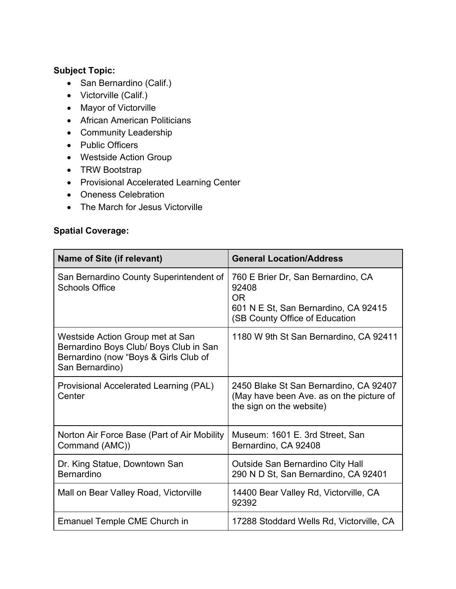### **Subject Topic:**

- San Bernardino (Calif.)
- Victorville (Calif.)
- Mayor of Victorville
- African American Politicians
- Community Leadership
- Public Officers
- Westside Action Group
- TRW Bootstrap
- Provisional Accelerated Learning Center
- Oneness Celebration
- The March for Jesus Victorville

### **Spatial Coverage:**

| Name of Site (if relevant)                                                                                                             | <b>General Location/Address</b>                                                                                                    |
|----------------------------------------------------------------------------------------------------------------------------------------|------------------------------------------------------------------------------------------------------------------------------------|
| San Bernardino County Superintendent of<br><b>Schools Office</b>                                                                       | 760 E Brier Dr, San Bernardino, CA<br>92408<br><b>OR</b><br>601 N E St, San Bernardino, CA 92415<br>(SB County Office of Education |
| Westside Action Group met at San<br>Bernardino Boys Club/ Boys Club in San<br>Bernardino (now "Boys & Girls Club of<br>San Bernardino) | 1180 W 9th St San Bernardino, CA 92411                                                                                             |
| Provisional Accelerated Learning (PAL)<br>Center                                                                                       | 2450 Blake St San Bernardino, CA 92407<br>(May have been Ave. as on the picture of<br>the sign on the website)                     |
| Norton Air Force Base (Part of Air Mobility<br>Command (AMC))                                                                          | Museum: 1601 E. 3rd Street, San<br>Bernardino, CA 92408                                                                            |
| Dr. King Statue, Downtown San<br><b>Bernardino</b>                                                                                     | <b>Outside San Bernardino City Hall</b><br>290 N D St, San Bernardino, CA 92401                                                    |
| Mall on Bear Valley Road, Victorville                                                                                                  | 14400 Bear Valley Rd, Victorville, CA<br>92392                                                                                     |
| <b>Emanuel Temple CME Church in</b>                                                                                                    | 17288 Stoddard Wells Rd, Victorville, CA                                                                                           |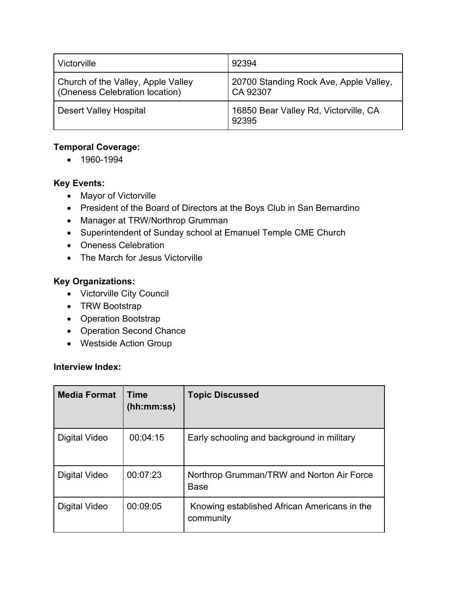| Victorville                                                          | 92394                                              |
|----------------------------------------------------------------------|----------------------------------------------------|
| Church of the Valley, Apple Valley<br>(Oneness Celebration location) | 20700 Standing Rock Ave, Apple Valley,<br>CA 92307 |
| <b>Desert Valley Hospital</b>                                        | 16850 Bear Valley Rd, Victorville, CA<br>92395     |

### **Temporal Coverage:**

• 1960-1994

#### **Key Events:**

- Mayor of Victorville
- President of the Board of Directors at the Boys Club in San Bernardino
- Manager at TRW/Northrop Grumman
- Superintendent of Sunday school at Emanuel Temple CME Church
- Oneness Celebration
- The March for Jesus Victorville

#### **Key Organizations:**

- Victorville City Council
- TRW Bootstrap
- Operation Bootstrap
- Operation Second Chance
- Westside Action Group

#### **Interview Index:**

| <b>Media Format</b> | Time<br>(hh:mm:ss) | <b>Topic Discussed</b>                                    |
|---------------------|--------------------|-----------------------------------------------------------|
| Digital Video       | 00:04:15           | Early schooling and background in military                |
| Digital Video       | 00:07:23           | Northrop Grumman/TRW and Norton Air Force<br><b>Base</b>  |
| Digital Video       | 00:09:05           | Knowing established African Americans in the<br>community |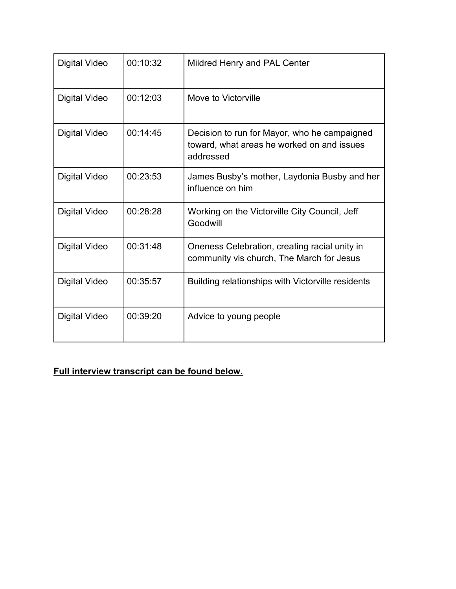| <b>Digital Video</b> | 00:10:32 | Mildred Henry and PAL Center                                                                            |
|----------------------|----------|---------------------------------------------------------------------------------------------------------|
| Digital Video        | 00:12:03 | Move to Victorville                                                                                     |
| Digital Video        | 00:14:45 | Decision to run for Mayor, who he campaigned<br>toward, what areas he worked on and issues<br>addressed |
| <b>Digital Video</b> | 00:23:53 | James Busby's mother, Laydonia Busby and her<br>influence on him                                        |
| <b>Digital Video</b> | 00:28:28 | Working on the Victorville City Council, Jeff<br>Goodwill                                               |
| <b>Digital Video</b> | 00:31:48 | Oneness Celebration, creating racial unity in<br>community vis church, The March for Jesus              |
| Digital Video        | 00:35:57 | Building relationships with Victorville residents                                                       |
| <b>Digital Video</b> | 00:39:20 | Advice to young people                                                                                  |

**Full interview transcript can be found below.**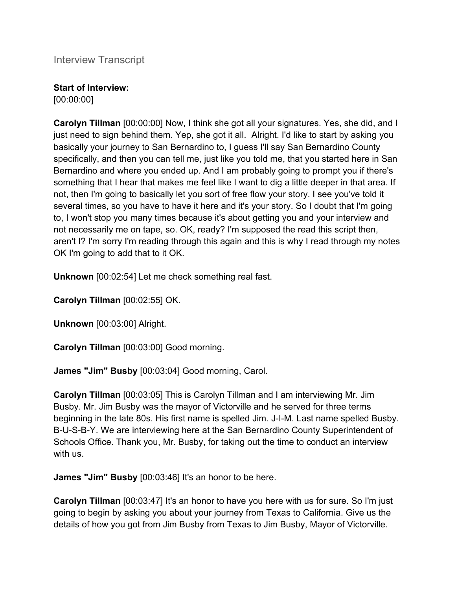Interview Transcript

## **Start of Interview:**

[00:00:00]

**Carolyn Tillman** [00:00:00] Now, I think she got all your signatures. Yes, she did, and I just need to sign behind them. Yep, she got it all. Alright. I'd like to start by asking you basically your journey to San Bernardino to, I guess I'll say San Bernardino County specifically, and then you can tell me, just like you told me, that you started here in San Bernardino and where you ended up. And I am probably going to prompt you if there's something that I hear that makes me feel like I want to dig a little deeper in that area. If not, then I'm going to basically let you sort of free flow your story. I see you've told it several times, so you have to have it here and it's your story. So I doubt that I'm going to, I won't stop you many times because it's about getting you and your interview and not necessarily me on tape, so. OK, ready? I'm supposed the read this script then, aren't I? I'm sorry I'm reading through this again and this is why I read through my notes OK I'm going to add that to it OK.

**Unknown** [00:02:54] Let me check something real fast.

**Carolyn Tillman** [00:02:55] OK.

**Unknown** [00:03:00] Alright.

**Carolyn Tillman** [00:03:00] Good morning.

**James "Jim" Busby** [00:03:04] Good morning, Carol.

**Carolyn Tillman** [00:03:05] This is Carolyn Tillman and I am interviewing Mr. Jim Busby. Mr. Jim Busby was the mayor of Victorville and he served for three terms beginning in the late 80s. His first name is spelled Jim. J-I-M. Last name spelled Busby. B-U-S-B-Y. We are interviewing here at the San Bernardino County Superintendent of Schools Office. Thank you, Mr. Busby, for taking out the time to conduct an interview with us.

**James "Jim" Busby** [00:03:46] It's an honor to be here.

**Carolyn Tillman** [00:03:47] It's an honor to have you here with us for sure. So I'm just going to begin by asking you about your journey from Texas to California. Give us the details of how you got from Jim Busby from Texas to Jim Busby, Mayor of Victorville.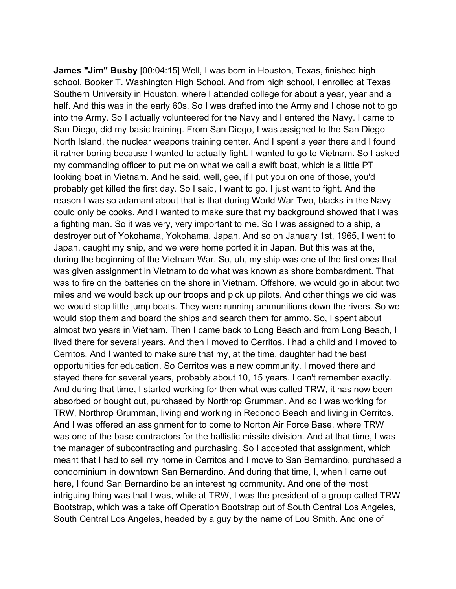**James "Jim" Busby** [00:04:15] Well, I was born in Houston, Texas, finished high school, Booker T. Washington High School. And from high school, I enrolled at Texas Southern University in Houston, where I attended college for about a year, year and a half. And this was in the early 60s. So I was drafted into the Army and I chose not to go into the Army. So I actually volunteered for the Navy and I entered the Navy. I came to San Diego, did my basic training. From San Diego, I was assigned to the San Diego North Island, the nuclear weapons training center. And I spent a year there and I found it rather boring because I wanted to actually fight. I wanted to go to Vietnam. So I asked my commanding officer to put me on what we call a swift boat, which is a little PT looking boat in Vietnam. And he said, well, gee, if I put you on one of those, you'd probably get killed the first day. So I said, I want to go. I just want to fight. And the reason I was so adamant about that is that during World War Two, blacks in the Navy could only be cooks. And I wanted to make sure that my background showed that I was a fighting man. So it was very, very important to me. So I was assigned to a ship, a destroyer out of Yokohama, Yokohama, Japan. And so on January 1st, 1965, I went to Japan, caught my ship, and we were home ported it in Japan. But this was at the, during the beginning of the Vietnam War. So, uh, my ship was one of the first ones that was given assignment in Vietnam to do what was known as shore bombardment. That was to fire on the batteries on the shore in Vietnam. Offshore, we would go in about two miles and we would back up our troops and pick up pilots. And other things we did was we would stop little jump boats. They were running ammunitions down the rivers. So we would stop them and board the ships and search them for ammo. So, I spent about almost two years in Vietnam. Then I came back to Long Beach and from Long Beach, I lived there for several years. And then I moved to Cerritos. I had a child and I moved to Cerritos. And I wanted to make sure that my, at the time, daughter had the best opportunities for education. So Cerritos was a new community. I moved there and stayed there for several years, probably about 10, 15 years. I can't remember exactly. And during that time, I started working for then what was called TRW, it has now been absorbed or bought out, purchased by Northrop Grumman. And so I was working for TRW, Northrop Grumman, living and working in Redondo Beach and living in Cerritos. And I was offered an assignment for to come to Norton Air Force Base, where TRW was one of the base contractors for the ballistic missile division. And at that time, I was the manager of subcontracting and purchasing. So I accepted that assignment, which meant that I had to sell my home in Cerritos and I move to San Bernardino, purchased a condominium in downtown San Bernardino. And during that time, I, when I came out here, I found San Bernardino be an interesting community. And one of the most intriguing thing was that I was, while at TRW, I was the president of a group called TRW Bootstrap, which was a take off Operation Bootstrap out of South Central Los Angeles, South Central Los Angeles, headed by a guy by the name of Lou Smith. And one of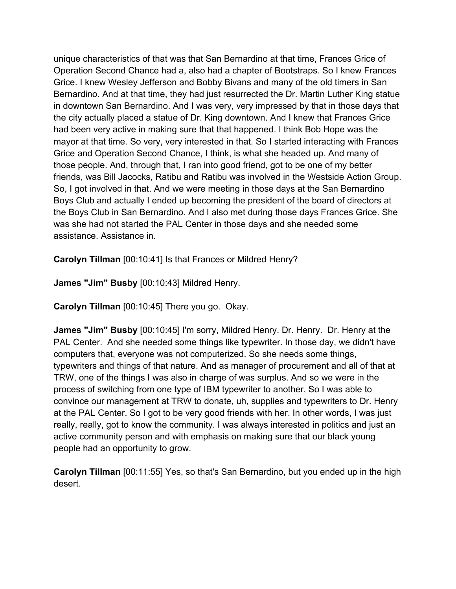unique characteristics of that was that San Bernardino at that time, Frances Grice of Operation Second Chance had a, also had a chapter of Bootstraps. So I knew Frances Grice. I knew Wesley Jefferson and Bobby Bivans and many of the old timers in San Bernardino. And at that time, they had just resurrected the Dr. Martin Luther King statue in downtown San Bernardino. And I was very, very impressed by that in those days that the city actually placed a statue of Dr. King downtown. And I knew that Frances Grice had been very active in making sure that that happened. I think Bob Hope was the mayor at that time. So very, very interested in that. So I started interacting with Frances Grice and Operation Second Chance, I think, is what she headed up. And many of those people. And, through that, I ran into good friend, got to be one of my better friends, was Bill Jacocks, Ratibu and Ratibu was involved in the Westside Action Group. So, I got involved in that. And we were meeting in those days at the San Bernardino Boys Club and actually I ended up becoming the president of the board of directors at the Boys Club in San Bernardino. And I also met during those days Frances Grice. She was she had not started the PAL Center in those days and she needed some assistance. Assistance in.

**Carolyn Tillman** [00:10:41] Is that Frances or Mildred Henry?

**James "Jim" Busby** [00:10:43] Mildred Henry.

**Carolyn Tillman** [00:10:45] There you go. Okay.

**James "Jim" Busby** [00:10:45] I'm sorry, Mildred Henry. Dr. Henry. Dr. Henry at the PAL Center. And she needed some things like typewriter. In those day, we didn't have computers that, everyone was not computerized. So she needs some things, typewriters and things of that nature. And as manager of procurement and all of that at TRW, one of the things I was also in charge of was surplus. And so we were in the process of switching from one type of IBM typewriter to another. So I was able to convince our management at TRW to donate, uh, supplies and typewriters to Dr. Henry at the PAL Center. So I got to be very good friends with her. In other words, I was just really, really, got to know the community. I was always interested in politics and just an active community person and with emphasis on making sure that our black young people had an opportunity to grow.

**Carolyn Tillman** [00:11:55] Yes, so that's San Bernardino, but you ended up in the high desert.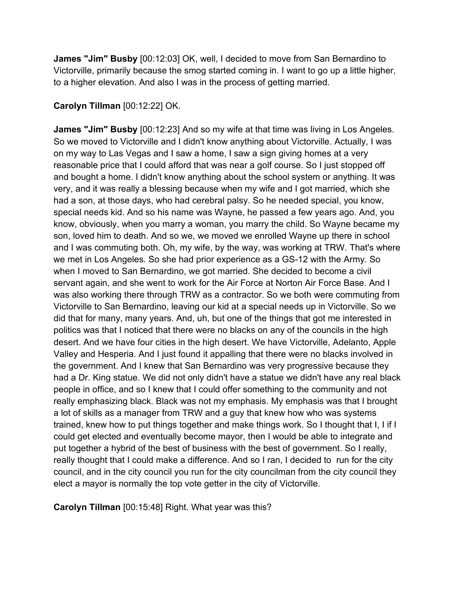**James "Jim" Busby** [00:12:03] OK, well, I decided to move from San Bernardino to Victorville, primarily because the smog started coming in. I want to go up a little higher, to a higher elevation. And also I was in the process of getting married.

#### **Carolyn Tillman** [00:12:22] OK.

**James "Jim" Busby** [00:12:23] And so my wife at that time was living in Los Angeles. So we moved to Victorville and I didn't know anything about Victorville. Actually, I was on my way to Las Vegas and I saw a home, I saw a sign giving homes at a very reasonable price that I could afford that was near a golf course. So I just stopped off and bought a home. I didn't know anything about the school system or anything. It was very, and it was really a blessing because when my wife and I got married, which she had a son, at those days, who had cerebral palsy. So he needed special, you know, special needs kid. And so his name was Wayne, he passed a few years ago. And, you know, obviously, when you marry a woman, you marry the child. So Wayne became my son, loved him to death. And so we, we moved we enrolled Wayne up there in school and I was commuting both. Oh, my wife, by the way, was working at TRW. That's where we met in Los Angeles. So she had prior experience as a GS-12 with the Army. So when I moved to San Bernardino, we got married. She decided to become a civil servant again, and she went to work for the Air Force at Norton Air Force Base. And I was also working there through TRW as a contractor. So we both were commuting from Victorville to San Bernardino, leaving our kid at a special needs up in Victorville. So we did that for many, many years. And, uh, but one of the things that got me interested in politics was that I noticed that there were no blacks on any of the councils in the high desert. And we have four cities in the high desert. We have Victorville, Adelanto, Apple Valley and Hesperia. And I just found it appalling that there were no blacks involved in the government. And I knew that San Bernardino was very progressive because they had a Dr. King statue. We did not only didn't have a statue we didn't have any real black people in office, and so I knew that I could offer something to the community and not really emphasizing black. Black was not my emphasis. My emphasis was that I brought a lot of skills as a manager from TRW and a guy that knew how who was systems trained, knew how to put things together and make things work. So I thought that I, I if I could get elected and eventually become mayor, then I would be able to integrate and put together a hybrid of the best of business with the best of government. So I really, really thought that I could make a difference. And so I ran, I decided to run for the city council, and in the city council you run for the city councilman from the city council they elect a mayor is normally the top vote getter in the city of Victorville.

**Carolyn Tillman** [00:15:48] Right. What year was this?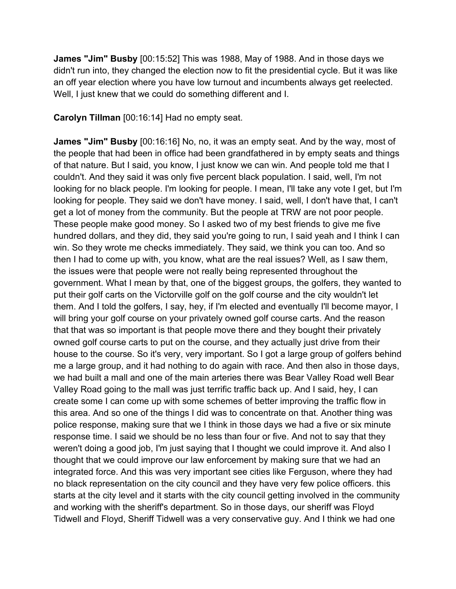**James "Jim" Busby** [00:15:52] This was 1988, May of 1988. And in those days we didn't run into, they changed the election now to fit the presidential cycle. But it was like an off year election where you have low turnout and incumbents always get reelected. Well, I just knew that we could do something different and I.

**Carolyn Tillman** [00:16:14] Had no empty seat.

**James "Jim" Busby** [00:16:16] No, no, it was an empty seat. And by the way, most of the people that had been in office had been grandfathered in by empty seats and things of that nature. But I said, you know, I just know we can win. And people told me that I couldn't. And they said it was only five percent black population. I said, well, I'm not looking for no black people. I'm looking for people. I mean, I'll take any vote I get, but I'm looking for people. They said we don't have money. I said, well, I don't have that, I can't get a lot of money from the community. But the people at TRW are not poor people. These people make good money. So I asked two of my best friends to give me five hundred dollars, and they did, they said you're going to run, I said yeah and I think I can win. So they wrote me checks immediately. They said, we think you can too. And so then I had to come up with, you know, what are the real issues? Well, as I saw them, the issues were that people were not really being represented throughout the government. What I mean by that, one of the biggest groups, the golfers, they wanted to put their golf carts on the Victorville golf on the golf course and the city wouldn't let them. And I told the golfers, I say, hey, if I'm elected and eventually I'll become mayor, I will bring your golf course on your privately owned golf course carts. And the reason that that was so important is that people move there and they bought their privately owned golf course carts to put on the course, and they actually just drive from their house to the course. So it's very, very important. So I got a large group of golfers behind me a large group, and it had nothing to do again with race. And then also in those days, we had built a mall and one of the main arteries there was Bear Valley Road well Bear Valley Road going to the mall was just terrific traffic back up. And I said, hey, I can create some I can come up with some schemes of better improving the traffic flow in this area. And so one of the things I did was to concentrate on that. Another thing was police response, making sure that we I think in those days we had a five or six minute response time. I said we should be no less than four or five. And not to say that they weren't doing a good job, I'm just saying that I thought we could improve it. And also I thought that we could improve our law enforcement by making sure that we had an integrated force. And this was very important see cities like Ferguson, where they had no black representation on the city council and they have very few police officers. this starts at the city level and it starts with the city council getting involved in the community and working with the sheriff's department. So in those days, our sheriff was Floyd Tidwell and Floyd, Sheriff Tidwell was a very conservative guy. And I think we had one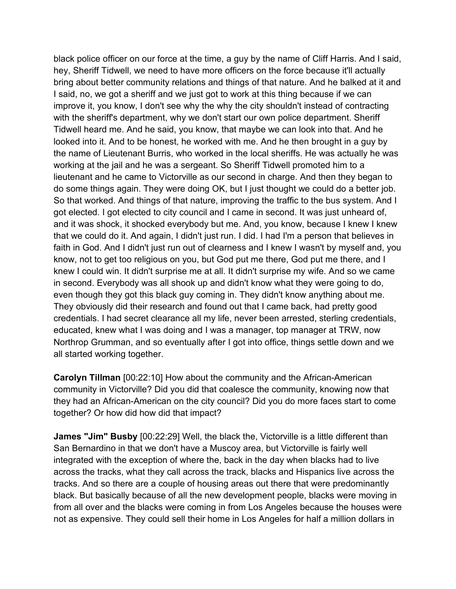black police officer on our force at the time, a guy by the name of Cliff Harris. And I said, hey, Sheriff Tidwell, we need to have more officers on the force because it'll actually bring about better community relations and things of that nature. And he balked at it and I said, no, we got a sheriff and we just got to work at this thing because if we can improve it, you know, I don't see why the why the city shouldn't instead of contracting with the sheriff's department, why we don't start our own police department. Sheriff Tidwell heard me. And he said, you know, that maybe we can look into that. And he looked into it. And to be honest, he worked with me. And he then brought in a guy by the name of Lieutenant Burris, who worked in the local sheriffs. He was actually he was working at the jail and he was a sergeant. So Sheriff Tidwell promoted him to a lieutenant and he came to Victorville as our second in charge. And then they began to do some things again. They were doing OK, but I just thought we could do a better job. So that worked. And things of that nature, improving the traffic to the bus system. And I got elected. I got elected to city council and I came in second. It was just unheard of, and it was shock, it shocked everybody but me. And, you know, because I knew I knew that we could do it. And again, I didn't just run. I did. I had I'm a person that believes in faith in God. And I didn't just run out of clearness and I knew I wasn't by myself and, you know, not to get too religious on you, but God put me there, God put me there, and I knew I could win. It didn't surprise me at all. It didn't surprise my wife. And so we came in second. Everybody was all shook up and didn't know what they were going to do, even though they got this black guy coming in. They didn't know anything about me. They obviously did their research and found out that I came back, had pretty good credentials. I had secret clearance all my life, never been arrested, sterling credentials, educated, knew what I was doing and I was a manager, top manager at TRW, now Northrop Grumman, and so eventually after I got into office, things settle down and we all started working together.

**Carolyn Tillman** [00:22:10] How about the community and the African-American community in Victorville? Did you did that coalesce the community, knowing now that they had an African-American on the city council? Did you do more faces start to come together? Or how did how did that impact?

**James "Jim" Busby** [00:22:29] Well, the black the, Victorville is a little different than San Bernardino in that we don't have a Muscoy area, but Victorville is fairly well integrated with the exception of where the, back in the day when blacks had to live across the tracks, what they call across the track, blacks and Hispanics live across the tracks. And so there are a couple of housing areas out there that were predominantly black. But basically because of all the new development people, blacks were moving in from all over and the blacks were coming in from Los Angeles because the houses were not as expensive. They could sell their home in Los Angeles for half a million dollars in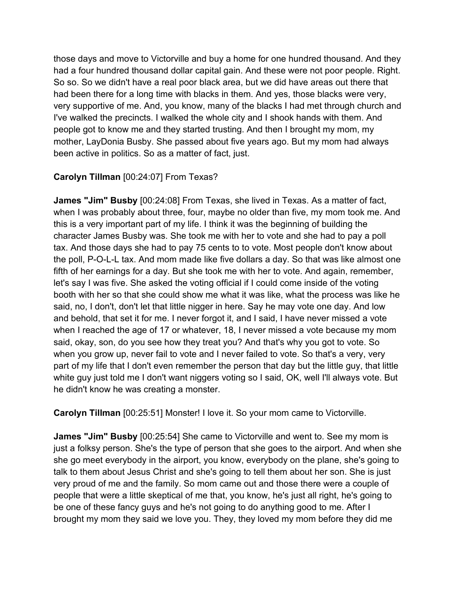those days and move to Victorville and buy a home for one hundred thousand. And they had a four hundred thousand dollar capital gain. And these were not poor people. Right. So so. So we didn't have a real poor black area, but we did have areas out there that had been there for a long time with blacks in them. And yes, those blacks were very, very supportive of me. And, you know, many of the blacks I had met through church and I've walked the precincts. I walked the whole city and I shook hands with them. And people got to know me and they started trusting. And then I brought my mom, my mother, LayDonia Busby. She passed about five years ago. But my mom had always been active in politics. So as a matter of fact, just.

### **Carolyn Tillman** [00:24:07] From Texas?

**James "Jim" Busby** [00:24:08] From Texas, she lived in Texas. As a matter of fact, when I was probably about three, four, maybe no older than five, my mom took me. And this is a very important part of my life. I think it was the beginning of building the character James Busby was. She took me with her to vote and she had to pay a poll tax. And those days she had to pay 75 cents to to vote. Most people don't know about the poll, P-O-L-L tax. And mom made like five dollars a day. So that was like almost one fifth of her earnings for a day. But she took me with her to vote. And again, remember, let's say I was five. She asked the voting official if I could come inside of the voting booth with her so that she could show me what it was like, what the process was like he said, no, I don't, don't let that little nigger in here. Say he may vote one day. And low and behold, that set it for me. I never forgot it, and I said, I have never missed a vote when I reached the age of 17 or whatever, 18, I never missed a vote because my mom said, okay, son, do you see how they treat you? And that's why you got to vote. So when you grow up, never fail to vote and I never failed to vote. So that's a very, very part of my life that I don't even remember the person that day but the little guy, that little white guy just told me I don't want niggers voting so I said, OK, well I'll always vote. But he didn't know he was creating a monster.

**Carolyn Tillman** [00:25:51] Monster! I love it. So your mom came to Victorville.

**James "Jim" Busby** [00:25:54] She came to Victorville and went to. See my mom is just a folksy person. She's the type of person that she goes to the airport. And when she she go meet everybody in the airport, you know, everybody on the plane, she's going to talk to them about Jesus Christ and she's going to tell them about her son. She is just very proud of me and the family. So mom came out and those there were a couple of people that were a little skeptical of me that, you know, he's just all right, he's going to be one of these fancy guys and he's not going to do anything good to me. After I brought my mom they said we love you. They, they loved my mom before they did me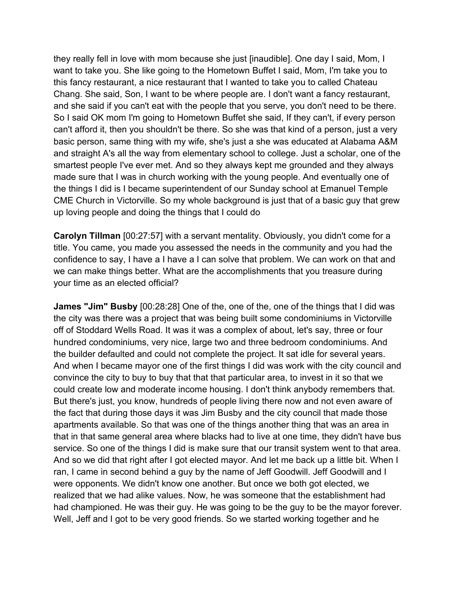they really fell in love with mom because she just [inaudible]. One day I said, Mom, I want to take you. She like going to the Hometown Buffet I said, Mom, I'm take you to this fancy restaurant, a nice restaurant that I wanted to take you to called Chateau Chang. She said, Son, I want to be where people are. I don't want a fancy restaurant, and she said if you can't eat with the people that you serve, you don't need to be there. So I said OK mom I'm going to Hometown Buffet she said, If they can't, if every person can't afford it, then you shouldn't be there. So she was that kind of a person, just a very basic person, same thing with my wife, she's just a she was educated at Alabama A&M and straight A's all the way from elementary school to college. Just a scholar, one of the smartest people I've ever met. And so they always kept me grounded and they always made sure that I was in church working with the young people. And eventually one of the things I did is I became superintendent of our Sunday school at Emanuel Temple CME Church in Victorville. So my whole background is just that of a basic guy that grew up loving people and doing the things that I could do

**Carolyn Tillman** [00:27:57] with a servant mentality. Obviously, you didn't come for a title. You came, you made you assessed the needs in the community and you had the confidence to say, I have a I have a I can solve that problem. We can work on that and we can make things better. What are the accomplishments that you treasure during your time as an elected official?

**James "Jim" Busby** [00:28:28] One of the, one of the, one of the things that I did was the city was there was a project that was being built some condominiums in Victorville off of Stoddard Wells Road. It was it was a complex of about, let's say, three or four hundred condominiums, very nice, large two and three bedroom condominiums. And the builder defaulted and could not complete the project. It sat idle for several years. And when I became mayor one of the first things I did was work with the city council and convince the city to buy to buy that that that particular area, to invest in it so that we could create low and moderate income housing. I don't think anybody remembers that. But there's just, you know, hundreds of people living there now and not even aware of the fact that during those days it was Jim Busby and the city council that made those apartments available. So that was one of the things another thing that was an area in that in that same general area where blacks had to live at one time, they didn't have bus service. So one of the things I did is make sure that our transit system went to that area. And so we did that right after I got elected mayor. And let me back up a little bit. When I ran, I came in second behind a guy by the name of Jeff Goodwill. Jeff Goodwill and I were opponents. We didn't know one another. But once we both got elected, we realized that we had alike values. Now, he was someone that the establishment had had championed. He was their guy. He was going to be the guy to be the mayor forever. Well, Jeff and I got to be very good friends. So we started working together and he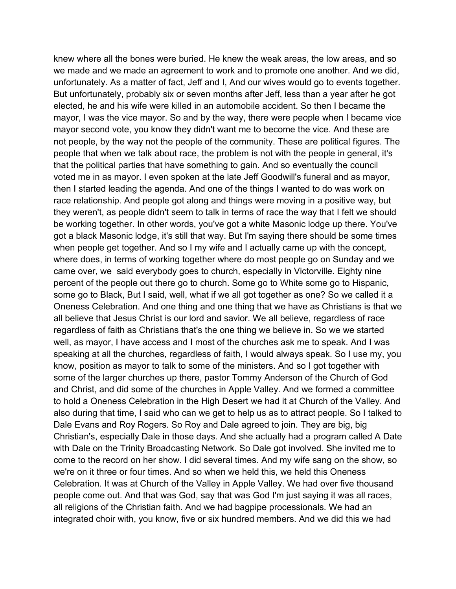knew where all the bones were buried. He knew the weak areas, the low areas, and so we made and we made an agreement to work and to promote one another. And we did, unfortunately. As a matter of fact, Jeff and I, And our wives would go to events together. But unfortunately, probably six or seven months after Jeff, less than a year after he got elected, he and his wife were killed in an automobile accident. So then I became the mayor, I was the vice mayor. So and by the way, there were people when I became vice mayor second vote, you know they didn't want me to become the vice. And these are not people, by the way not the people of the community. These are political figures. The people that when we talk about race, the problem is not with the people in general, it's that the political parties that have something to gain. And so eventually the council voted me in as mayor. I even spoken at the late Jeff Goodwill's funeral and as mayor, then I started leading the agenda. And one of the things I wanted to do was work on race relationship. And people got along and things were moving in a positive way, but they weren't, as people didn't seem to talk in terms of race the way that I felt we should be working together. In other words, you've got a white Masonic lodge up there. You've got a black Masonic lodge, it's still that way. But I'm saying there should be some times when people get together. And so I my wife and I actually came up with the concept, where does, in terms of working together where do most people go on Sunday and we came over, we said everybody goes to church, especially in Victorville. Eighty nine percent of the people out there go to church. Some go to White some go to Hispanic, some go to Black, But I said, well, what if we all got together as one? So we called it a Oneness Celebration. And one thing and one thing that we have as Christians is that we all believe that Jesus Christ is our lord and savior. We all believe, regardless of race regardless of faith as Christians that's the one thing we believe in. So we we started well, as mayor, I have access and I most of the churches ask me to speak. And I was speaking at all the churches, regardless of faith, I would always speak. So I use my, you know, position as mayor to talk to some of the ministers. And so I got together with some of the larger churches up there, pastor Tommy Anderson of the Church of God and Christ, and did some of the churches in Apple Valley. And we formed a committee to hold a Oneness Celebration in the High Desert we had it at Church of the Valley. And also during that time, I said who can we get to help us as to attract people. So I talked to Dale Evans and Roy Rogers. So Roy and Dale agreed to join. They are big, big Christian's, especially Dale in those days. And she actually had a program called A Date with Dale on the Trinity Broadcasting Network. So Dale got involved. She invited me to come to the record on her show. I did several times. And my wife sang on the show, so we're on it three or four times. And so when we held this, we held this Oneness Celebration. It was at Church of the Valley in Apple Valley. We had over five thousand people come out. And that was God, say that was God I'm just saying it was all races, all religions of the Christian faith. And we had bagpipe processionals. We had an integrated choir with, you know, five or six hundred members. And we did this we had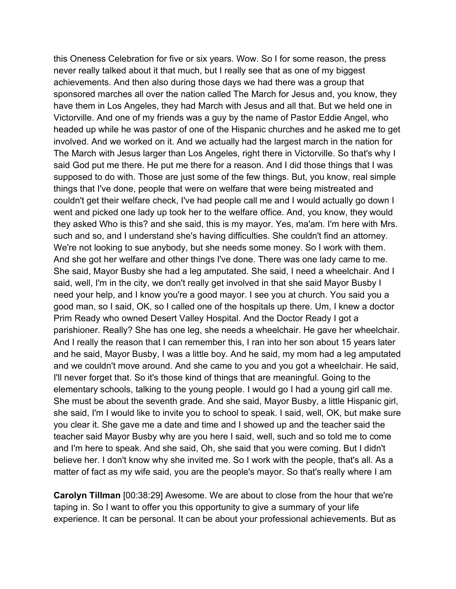this Oneness Celebration for five or six years. Wow. So I for some reason, the press never really talked about it that much, but I really see that as one of my biggest achievements. And then also during those days we had there was a group that sponsored marches all over the nation called The March for Jesus and, you know, they have them in Los Angeles, they had March with Jesus and all that. But we held one in Victorville. And one of my friends was a guy by the name of Pastor Eddie Angel, who headed up while he was pastor of one of the Hispanic churches and he asked me to get involved. And we worked on it. And we actually had the largest march in the nation for The March with Jesus larger than Los Angeles, right there in Victorville. So that's why I said God put me there. He put me there for a reason. And I did those things that I was supposed to do with. Those are just some of the few things. But, you know, real simple things that I've done, people that were on welfare that were being mistreated and couldn't get their welfare check, I've had people call me and I would actually go down I went and picked one lady up took her to the welfare office. And, you know, they would they asked Who is this? and she said, this is my mayor. Yes, ma'am. I'm here with Mrs. such and so, and I understand she's having difficulties. She couldn't find an attorney. We're not looking to sue anybody, but she needs some money. So I work with them. And she got her welfare and other things I've done. There was one lady came to me. She said, Mayor Busby she had a leg amputated. She said, I need a wheelchair. And I said, well, I'm in the city, we don't really get involved in that she said Mayor Busby I need your help, and I know you're a good mayor. I see you at church. You said you a good man, so I said, OK, so I called one of the hospitals up there. Um, I knew a doctor Prim Ready who owned Desert Valley Hospital. And the Doctor Ready I got a parishioner. Really? She has one leg, she needs a wheelchair. He gave her wheelchair. And I really the reason that I can remember this, I ran into her son about 15 years later and he said, Mayor Busby, I was a little boy. And he said, my mom had a leg amputated and we couldn't move around. And she came to you and you got a wheelchair. He said, I'll never forget that. So it's those kind of things that are meaningful. Going to the elementary schools, talking to the young people. I would go I had a young girl call me. She must be about the seventh grade. And she said, Mayor Busby, a little Hispanic girl, she said, I'm I would like to invite you to school to speak. I said, well, OK, but make sure you clear it. She gave me a date and time and I showed up and the teacher said the teacher said Mayor Busby why are you here I said, well, such and so told me to come and I'm here to speak. And she said, Oh, she said that you were coming. But I didn't believe her. I don't know why she invited me. So I work with the people, that's all. As a matter of fact as my wife said, you are the people's mayor. So that's really where I am

**Carolyn Tillman** [00:38:29] Awesome. We are about to close from the hour that we're taping in. So I want to offer you this opportunity to give a summary of your life experience. It can be personal. It can be about your professional achievements. But as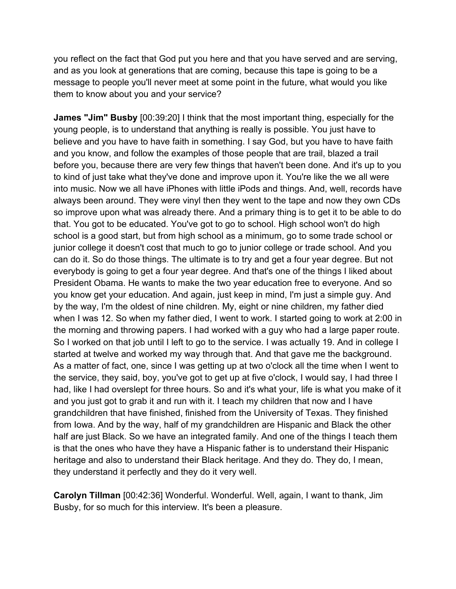you reflect on the fact that God put you here and that you have served and are serving, and as you look at generations that are coming, because this tape is going to be a message to people you'll never meet at some point in the future, what would you like them to know about you and your service?

**James "Jim" Busby** [00:39:20] I think that the most important thing, especially for the young people, is to understand that anything is really is possible. You just have to believe and you have to have faith in something. I say God, but you have to have faith and you know, and follow the examples of those people that are trail, blazed a trail before you, because there are very few things that haven't been done. And it's up to you to kind of just take what they've done and improve upon it. You're like the we all were into music. Now we all have iPhones with little iPods and things. And, well, records have always been around. They were vinyl then they went to the tape and now they own CDs so improve upon what was already there. And a primary thing is to get it to be able to do that. You got to be educated. You've got to go to school. High school won't do high school is a good start, but from high school as a minimum, go to some trade school or junior college it doesn't cost that much to go to junior college or trade school. And you can do it. So do those things. The ultimate is to try and get a four year degree. But not everybody is going to get a four year degree. And that's one of the things I liked about President Obama. He wants to make the two year education free to everyone. And so you know get your education. And again, just keep in mind, I'm just a simple guy. And by the way, I'm the oldest of nine children. My, eight or nine children, my father died when I was 12. So when my father died, I went to work. I started going to work at 2:00 in the morning and throwing papers. I had worked with a guy who had a large paper route. So I worked on that job until I left to go to the service. I was actually 19. And in college I started at twelve and worked my way through that. And that gave me the background. As a matter of fact, one, since I was getting up at two o'clock all the time when I went to the service, they said, boy, you've got to get up at five o'clock, I would say, I had three I had, like I had overslept for three hours. So and it's what your, life is what you make of it and you just got to grab it and run with it. I teach my children that now and I have grandchildren that have finished, finished from the University of Texas. They finished from Iowa. And by the way, half of my grandchildren are Hispanic and Black the other half are just Black. So we have an integrated family. And one of the things I teach them is that the ones who have they have a Hispanic father is to understand their Hispanic heritage and also to understand their Black heritage. And they do. They do, I mean, they understand it perfectly and they do it very well.

**Carolyn Tillman** [00:42:36] Wonderful. Wonderful. Well, again, I want to thank, Jim Busby, for so much for this interview. It's been a pleasure.